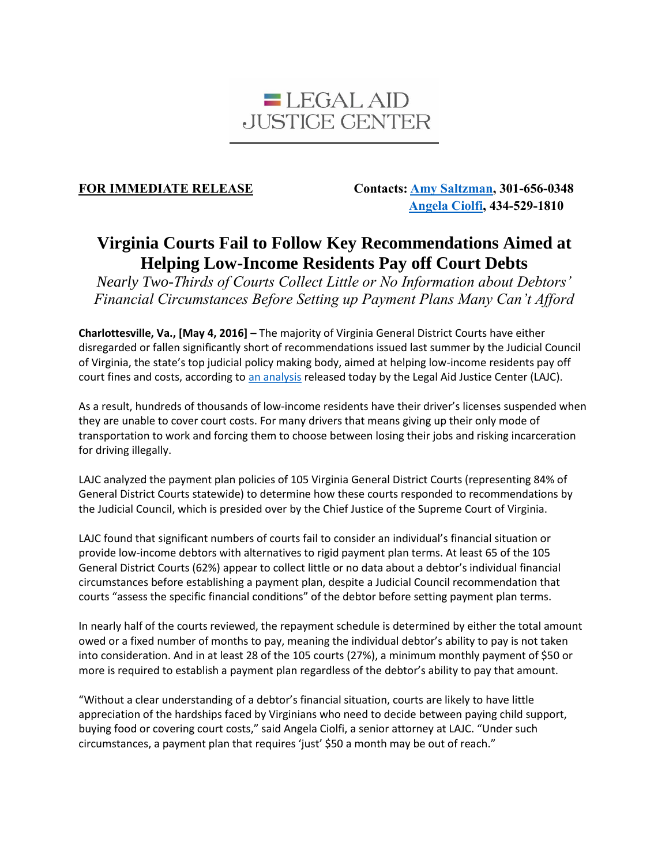

**FOR IMMEDIATE RELEASE Contacts[: Amy Saltzman,](mailto:asaltzman@thehatchergroup.com) 301-656-0348 [Angela Ciolfi,](mailto:angela@justice4all.org) 434-529-1810**

## **Virginia Courts Fail to Follow Key Recommendations Aimed at Helping Low-Income Residents Pay off Court Debts**

*Nearly Two-Thirds of Courts Collect Little or No Information about Debtors' Financial Circumstances Before Setting up Payment Plans Many Can't Afford*

**Charlottesville, Va., [May 4, 2016] –** The majority of Virginia General District Courts have either disregarded or fallen significantly short of recommendations issued last summer by the Judicial Council of Virginia, the state's top judicial policy making body, aimed at helping low-income residents pay off court fines and costs, according to [an analysis](https://www.justice4all.org/wp-content/uploads/2016/05/Driven-Deeper-Into-Debt-Payment-Plan-Analysis-Final.pdf) released today by the Legal Aid Justice Center (LAJC).

As a result, hundreds of thousands of low-income residents have their driver's licenses suspended when they are unable to cover court costs. For many drivers that means giving up their only mode of transportation to work and forcing them to choose between losing their jobs and risking incarceration for driving illegally.

LAJC analyzed the payment plan policies of 105 Virginia General District Courts (representing 84% of General District Courts statewide) to determine how these courts responded to recommendations by the Judicial Council, which is presided over by the Chief Justice of the Supreme Court of Virginia.

LAJC found that significant numbers of courts fail to consider an individual's financial situation or provide low-income debtors with alternatives to rigid payment plan terms. At least 65 of the 105 General District Courts (62%) appear to collect little or no data about a debtor's individual financial circumstances before establishing a payment plan, despite a Judicial Council recommendation that courts "assess the specific financial conditions" of the debtor before setting payment plan terms.

In nearly half of the courts reviewed, the repayment schedule is determined by either the total amount owed or a fixed number of months to pay, meaning the individual debtor's ability to pay is not taken into consideration. And in at least 28 of the 105 courts (27%), a minimum monthly payment of \$50 or more is required to establish a payment plan regardless of the debtor's ability to pay that amount.

"Without a clear understanding of a debtor's financial situation, courts are likely to have little appreciation of the hardships faced by Virginians who need to decide between paying child support, buying food or covering court costs," said Angela Ciolfi, a senior attorney at LAJC. "Under such circumstances, a payment plan that requires 'just' \$50 a month may be out of reach."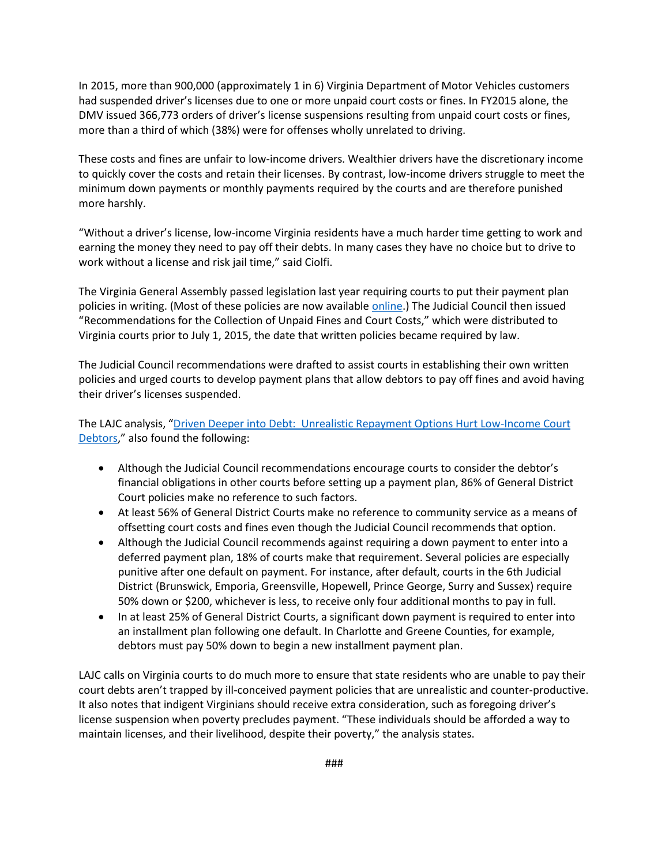In 2015, more than 900,000 (approximately 1 in 6) Virginia Department of Motor Vehicles customers had suspended driver's licenses due to one or more unpaid court costs or fines. In FY2015 alone, the DMV issued 366,773 orders of driver's license suspensions resulting from unpaid court costs or fines, more than a third of which (38%) were for offenses wholly unrelated to driving.

These costs and fines are unfair to low-income drivers. Wealthier drivers have the discretionary income to quickly cover the costs and retain their licenses. By contrast, low-income drivers struggle to meet the minimum down payments or monthly payments required by the courts and are therefore punished more harshly.

"Without a driver's license, low-income Virginia residents have a much harder time getting to work and earning the money they need to pay off their debts. In many cases they have no choice but to drive to work without a license and risk jail time," said Ciolfi.

The Virginia General Assembly passed legislation last year requiring courts to put their payment plan policies in writing. (Most of these policies are now available [online.](http://www.courts.state.va.us/online/ppp_fines_costs/home.html)) The Judicial Council then issued "Recommendations for the Collection of Unpaid Fines and Court Costs," which were distributed to Virginia courts prior to July 1, 2015, the date that written policies became required by law.

The Judicial Council recommendations were drafted to assist courts in establishing their own written policies and urged courts to develop payment plans that allow debtors to pay off fines and avoid having their driver's licenses suspended.

The LAJC analysis, "[Driven Deeper into Debt: Unrealistic Repayment Options Hurt Low-Income Court](https://www.justice4all.org/wp-content/uploads/2016/05/Driven-Deeper-Into-Debt-Payment-Plan-Analysis-Final.pdf)  [Debtors](https://www.justice4all.org/wp-content/uploads/2016/05/Driven-Deeper-Into-Debt-Payment-Plan-Analysis-Final.pdf)," also found the following:

- Although the Judicial Council recommendations encourage courts to consider the debtor's financial obligations in other courts before setting up a payment plan, 86% of General District Court policies make no reference to such factors.
- At least 56% of General District Courts make no reference to community service as a means of offsetting court costs and fines even though the Judicial Council recommends that option.
- Although the Judicial Council recommends against requiring a down payment to enter into a deferred payment plan, 18% of courts make that requirement. Several policies are especially punitive after one default on payment. For instance, after default, courts in the 6th Judicial District (Brunswick, Emporia, Greensville, Hopewell, Prince George, Surry and Sussex) require 50% down or \$200, whichever is less, to receive only four additional months to pay in full.
- In at least 25% of General District Courts, a significant down payment is required to enter into an installment plan following one default. In Charlotte and Greene Counties, for example, debtors must pay 50% down to begin a new installment payment plan.

LAJC calls on Virginia courts to do much more to ensure that state residents who are unable to pay their court debts aren't trapped by ill-conceived payment policies that are unrealistic and counter-productive. It also notes that indigent Virginians should receive extra consideration, such as foregoing driver's license suspension when poverty precludes payment. "These individuals should be afforded a way to maintain licenses, and their livelihood, despite their poverty," the analysis states.